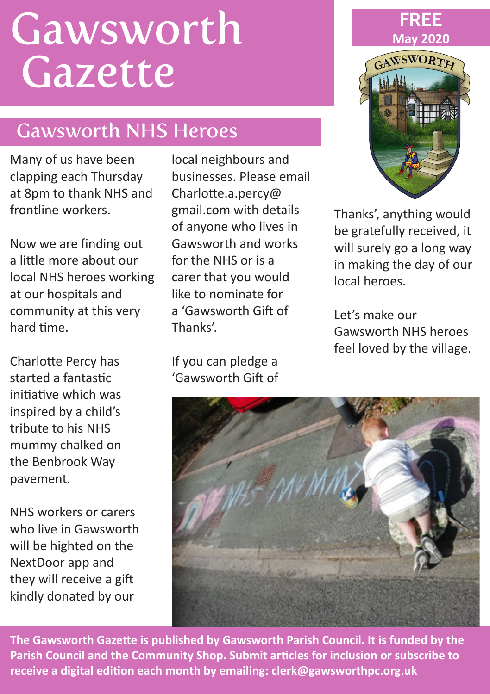# Gawsworth **Gazette**

# Gawsworth NHS Heroes

Many of us have been clapping each Thursday at 8pm to thank NHS and frontline workers.

Now we are finding out a little more about our local NHS heroes working at our hospitals and community at this very hard time.

Charlotte Percy has started a fantastic initiative which was inspired by a child's tribute to his NHS mummy chalked on the Benbrook Way pavement.

NHS workers or carers who live in Gawsworth will be highted on the NextDoor app and they will receive a gift kindly donated by our

local neighbours and businesses. Please email Charlotte.a.percy@ gmail.com with details of anyone who lives in Gawsworth and works for the NHS or is a carer that you would like to nominate for a 'Gawsworth Gift of Thanks'.

If you can pledge a 'Gawsworth Gift of



Thanks', anything would be gratefully received, it will surely go a long way in making the day of our local heroes.

Let's make our Gawsworth NHS heroes feel loved by the village.



**The Gawsworth Gazette is published by Gawsworth Parish Council. It is funded by the Parish Council and the Community Shop. Submit articles for inclusion or subscribe to receive a digital edition each month by emailing: clerk@gawsworthpc.org.uk**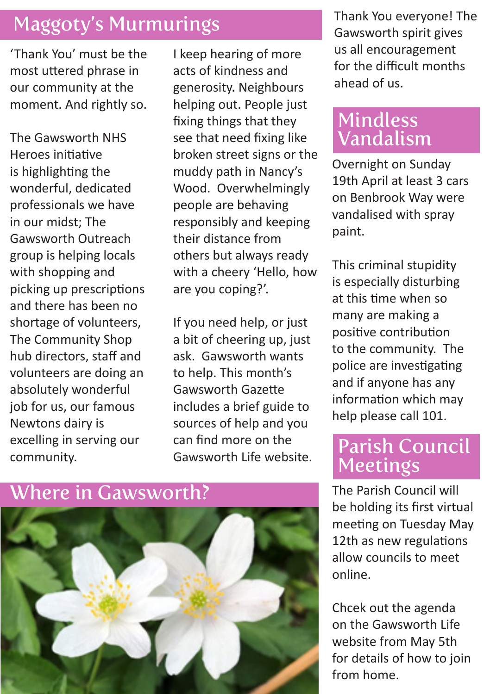# Maggoty's Murmurings

'Thank You' must be the most uttered phrase in our community at the moment. And rightly so.

The Gawsworth NHS Heroes initiative is highlighting the wonderful, dedicated professionals we have in our midst; The Gawsworth Outreach group is helping locals with shopping and picking up prescriptions and there has been no shortage of volunteers, The Community Shop hub directors, staff and volunteers are doing an absolutely wonderful job for us, our famous Newtons dairy is excelling in serving our community.

I keep hearing of more acts of kindness and generosity. Neighbours helping out. People just fixing things that they see that need fixing like broken street signs or the muddy path in Nancy's Wood. Overwhelmingly people are behaving responsibly and keeping their distance from others but always ready with a cheery 'Hello, how are you coping?'.

If you need help, or just a bit of cheering up, just ask. Gawsworth wants to help. This month's Gawsworth Gazette includes a brief guide to sources of help and you can find more on the Gawsworth Life website.

### Where in Gawsworth?



Thank You everyone! The Gawsworth spirit gives us all encouragement for the difficult months ahead of us.

## Mindless Vandalism

Overnight on Sunday 19th April at least 3 cars on Benbrook Way were vandalised with spray paint.

This criminal stupidity is especially disturbing at this time when so many are making a positive contribution to the community. The police are investigating and if anyone has any information which may help please call 101.

#### Parish Council **Meetings**

The Parish Council will be holding its first virtual meeting on Tuesday May 12th as new regulations allow councils to meet online.

Chcek out the agenda on the Gawsworth Life website from May 5th for details of how to join from home.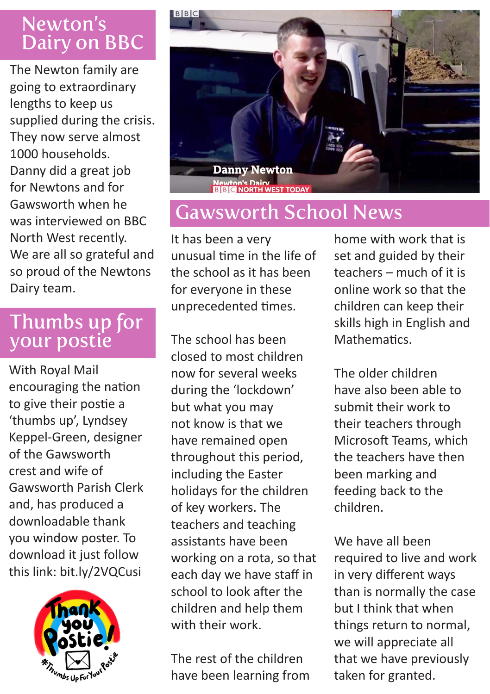# Newton's Dairy on BBC

The Newton family are going to extraordinary lengths to keep us supplied during the crisis. They now serve almost 1000 households. Danny did a great job for Newtons and for Gawsworth when he was interviewed on BBC North West recently. We are all so grateful and so proud of the Newtons Dairy team.

#### Thumbs up for your postie

With Royal Mail encouraging the nation to give their postie a 'thumbs up', Lyndsey Keppel-Green, designer of the Gawsworth crest and wife of Gawsworth Parish Clerk and, has produced a downloadable thank you window poster. To download it just follow this link: bit.ly/2VQCusi





# Gawsworth School News

It has been a very unusual time in the life of the school as it has been for everyone in these unprecedented times.

The school has been closed to most children now for several weeks during the 'lockdown' but what you may not know is that we have remained open throughout this period, including the Easter holidays for the children of key workers. The teachers and teaching assistants have been working on a rota, so that each day we have staff in school to look after the children and help them with their work.

The rest of the children have been learning from

home with work that is set and guided by their teachers – much of it is online work so that the children can keep their skills high in English and Mathematics.

The older children have also been able to submit their work to their teachers through Microsoft Teams, which the teachers have then been marking and feeding back to the children.

We have all been required to live and work in very different ways than is normally the case but I think that when things return to normal, we will appreciate all that we have previously taken for granted.